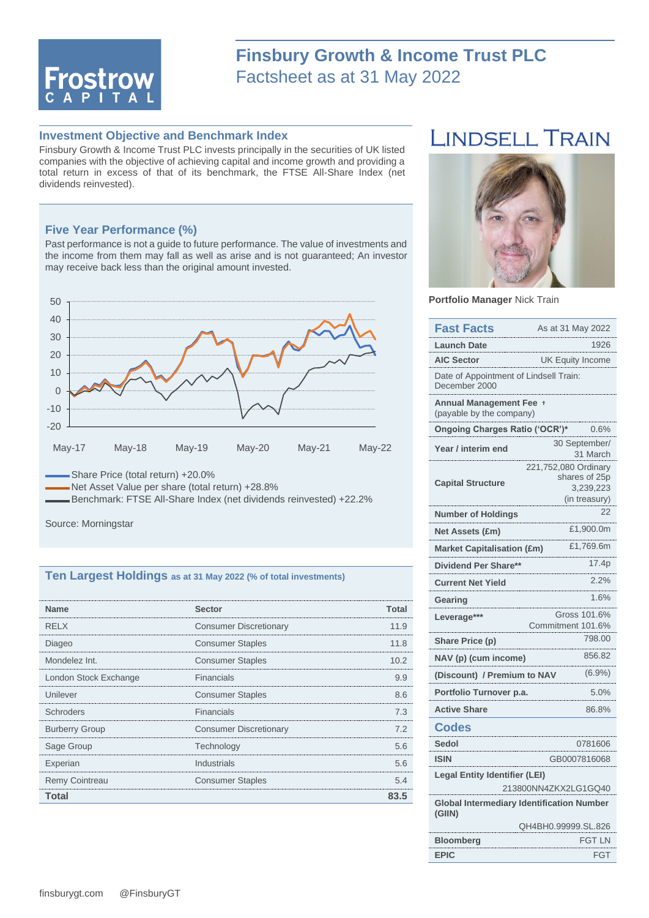

# **Finsbury Growth & Income Trust PLC** Factsheet as at 31 May 2022

## **Investment Objective and Benchmark Index**

Finsbury Growth & Income Trust PLC invests principally in the securities of UK listed companies with the objective of achieving capital and income growth and providing a total return in excess of that of its benchmark, the FTSE All-Share Index (net dividends reinvested).

### **Five Year Performance (%)**

Past performance is not a guide to future performance. The value of investments and the income from them may fall as well as arise and is not guaranteed; An investor may receive back less than the original amount invested.



Net Asset Value per share (total return) +28.8%

Benchmark: FTSE All-Share Index (net dividends reinvested) +22.2%

Source: Morningstar

#### **Ten Largest Holdings as at 31 May 2022 (% of total investments)**

| <b>Name</b>           | <b>Sector</b>                 | Total |
|-----------------------|-------------------------------|-------|
| <b>RELX</b>           | <b>Consumer Discretionary</b> | 11.9  |
| Diageo                | <b>Consumer Staples</b>       | 11.8  |
| Mondelez Int.         | <b>Consumer Staples</b>       | 10.2  |
| London Stock Exchange | Financials                    | 99    |
| Unilever              | <b>Consumer Staples</b>       | 86    |
| Schroders             | Financials                    | 73    |
| <b>Burberry Group</b> | <b>Consumer Discretionary</b> |       |
| Sage Group            | Technology                    | 56    |
| Experian              | Industrials                   | 5.6   |
| <b>Remy Cointreau</b> | <b>Consumer Staples</b>       | 54    |
| Total                 |                               | 35    |

# **LINDSELL TRAIN**



**Portfolio Manager** Nick Train

| <b>Fast Facts</b>                                            | As at 31 May 2022                                                   |  |  |  |  |
|--------------------------------------------------------------|---------------------------------------------------------------------|--|--|--|--|
| <b>Launch Date</b><br>1926                                   |                                                                     |  |  |  |  |
| <b>AIC Sector</b>                                            | <b>UK Equity Income</b>                                             |  |  |  |  |
| Date of Appointment of Lindsell Train:<br>December 2000      |                                                                     |  |  |  |  |
| <b>Annual Management Fee</b><br>(payable by the company)     |                                                                     |  |  |  |  |
| Ongoing Charges Ratio ('OCR')*                               | 0.6%                                                                |  |  |  |  |
| Year / interim end                                           | 30 September/<br>31 March                                           |  |  |  |  |
| <b>Capital Structure</b>                                     | 221,752,080 Ordinary<br>shares of 25p<br>3,239,223<br>(in treasury) |  |  |  |  |
| <b>Number of Holdings</b>                                    | 22                                                                  |  |  |  |  |
| Net Assets (£m)                                              | £1,900.0m                                                           |  |  |  |  |
| <b>Market Capitalisation (£m)</b>                            | £1,769.6m                                                           |  |  |  |  |
| Dividend Per Share**                                         | 17.4p                                                               |  |  |  |  |
| <b>Current Net Yield</b>                                     | 2.2%                                                                |  |  |  |  |
| Gearing                                                      | 1.6%                                                                |  |  |  |  |
| Leverage***                                                  | Gross 101.6%<br>Commitment 101.6%                                   |  |  |  |  |
| Share Price (p)                                              | 798.00                                                              |  |  |  |  |
| 856.82<br>NAV (p) (cum income)                               |                                                                     |  |  |  |  |
| (6.9%)<br>(Discount) / Premium to NAV                        |                                                                     |  |  |  |  |
| Portfolio Turnover p.a.                                      | 5.0%                                                                |  |  |  |  |
| <b>Active Share</b>                                          | 86.8%                                                               |  |  |  |  |
| <b>Codes</b>                                                 |                                                                     |  |  |  |  |
| Sedol                                                        | 0781606                                                             |  |  |  |  |
| <b>ISIN</b>                                                  | GB0007816068                                                        |  |  |  |  |
| <b>Legal Entity Identifier (LEI)</b><br>213800NN4ZKX2LG1GQ40 |                                                                     |  |  |  |  |
| <b>Global Intermediary Identification Number</b><br>(GIIN)   |                                                                     |  |  |  |  |
|                                                              | QH4BH0.99999.SL.826                                                 |  |  |  |  |
| <b>Bloomberg</b>                                             | <b>FGT LN</b>                                                       |  |  |  |  |
| <b>EPIC</b>                                                  | FGT                                                                 |  |  |  |  |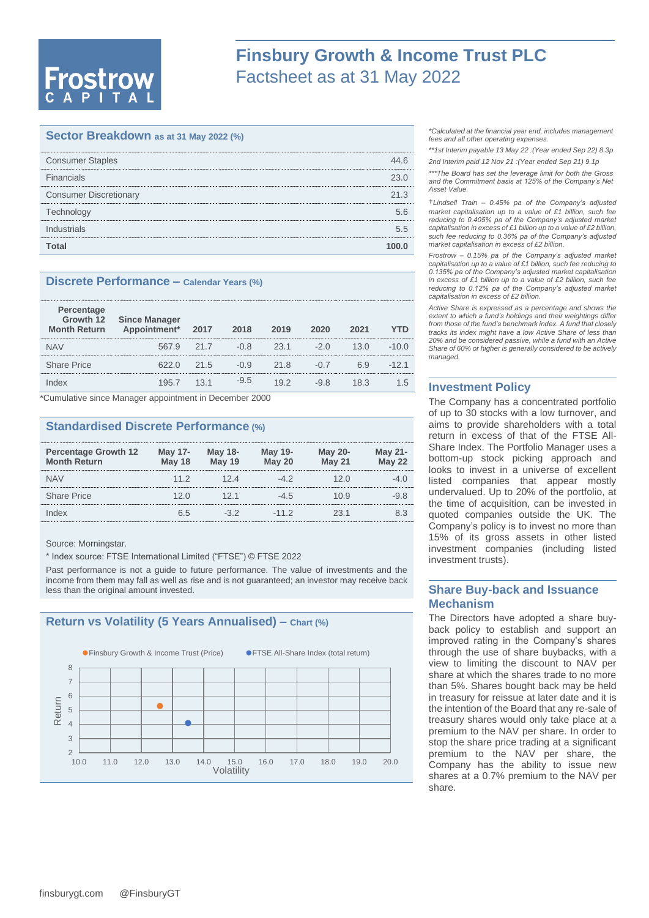# **Frostrow**

# **Finsbury Growth & Income Trust PLC** Factsheet as at 31 May 2022

# **Sector Breakdown as at 31 May 2022 (%)**

| <b>Consumer Staples</b>       | 16   |
|-------------------------------|------|
| Financials                    | 23 N |
| <b>Consumer Discretionary</b> | 21.3 |
| Technology                    | 56   |
| Industrials                   | 55   |
| Total                         |      |

### **Discrete Performance – Calendar Years (%)**

| Percentage<br><b>Month Return</b> | Growth 12 Since Manager<br>Appointment* | 2017 | 2018   | 2019 | 2020   | 2021 | YTD     |
|-----------------------------------|-----------------------------------------|------|--------|------|--------|------|---------|
| <b>NAV</b>                        | 567.9                                   | 21.7 | $-0.8$ | 23.1 | $-2.0$ | 13.0 | $-10.0$ |
| <b>Share Price</b>                | 622 N                                   | 21.5 | $-0.9$ | 21.8 | $-(1)$ | 69   | $-12.1$ |
| dex                               | 1957                                    | 13.1 | $-9.5$ | 192  | $-9.8$ | 18.3 | 1.5     |
|                                   |                                         |      |        |      |        |      |         |

\*Cumulative since Manager appointment in December 2000

## **Standardised Discrete Performance (%)**

| <b>Percentage Growth 12</b><br><b>Month Return</b> | <b>May 17-</b><br><b>May 18</b> | <b>May 18-</b><br><b>May 19</b> | May 19-<br><b>May 20</b> | <b>May 20-</b><br><b>May 21</b> | <b>May 21-</b><br><b>May 22</b> |
|----------------------------------------------------|---------------------------------|---------------------------------|--------------------------|---------------------------------|---------------------------------|
| <b>NAV</b>                                         | 11.2                            | 12 4                            | -42                      | 20                              |                                 |
| <b>Share Price</b>                                 | 12 ()                           | 121                             | $-4.5$                   | () 9                            | -9.8                            |
| ndex                                               | հ 5                             |                                 | $-112$                   | ソス 1                            |                                 |

Source: Morningstar.

\* Index source: FTSE International Limited ("FTSE") © FTSE 2022

Past performance is not a guide to future performance. The value of investments and the income from them may fall as well as rise and is not guaranteed; an investor may receive back less than the original amount invested.

## **Return vs Volatility (5 Years Annualised) – Chart (%)**



*\*Calculated at the financial year end, includes management fees and all other operating expenses.*

*\*\*1st Interim payable 13 May 22 :(Year ended Sep 22) 8.3p 2nd Interim paid 12 Nov 21 :(Year ended Sep 21) 9.1p* 

*\*\*\*The Board has set the leverage limit for both the Gross and the Commitment basis at 125% of the Company's Net Asset Value.*

†*Lindsell Train – 0.45% pa of the Company's adjusted market capitalisation up to a value of £1 billion, such fee reducing to 0.405% pa of the Company's adjusted market capitalisation in excess of £1 billion up to a value of £2 billion, such fee reducing to 0.36% pa of the Company's adjusted market capitalisation in excess of £2 billion.*

*Frostrow – 0.15% pa of the Company's adjusted market capitalisation up to a value of £1 billion, such fee reducing to 0.135% pa of the Company's adjusted market capitalisation in excess of £1 billion up to a value of £2 billion, such fee reducing to 0.12% pa of the Company's adjusted market capitalisation in excess of £2 billion.*

*Active Share is expressed as a percentage and shows the extent to which a fund's holdings and their weightings differ from those of the fund's benchmark index. A fund that closely tracks its index might have a low Active Share of less than 20% and be considered passive, while a fund with an Active Share of 60% or higher is generally considered to be actively managed.*

### **Investment Policy**

The Company has a concentrated portfolio of up to 30 stocks with a low turnover, and aims to provide shareholders with a total return in excess of that of the FTSE All-Share Index. The Portfolio Manager uses a bottom-up stock picking approach and looks to invest in a universe of excellent listed companies that appear mostly undervalued. Up to 20% of the portfolio, at the time of acquisition, can be invested in quoted companies outside the UK. The Company's policy is to invest no more than 15% of its gross assets in other listed investment companies (including listed investment trusts).

# **Share Buy-back and Issuance Mechanism**

The Directors have adopted a share buyback policy to establish and support an improved rating in the Company's shares through the use of share buybacks, with a view to limiting the discount to NAV per share at which the shares trade to no more than 5%. Shares bought back may be held in treasury for reissue at later date and it is the intention of the Board that any re-sale of treasury shares would only take place at a premium to the NAV per share. In order to stop the share price trading at a significant premium to the NAV per share, the Company has the ability to issue new shares at a 0.7% premium to the NAV per share.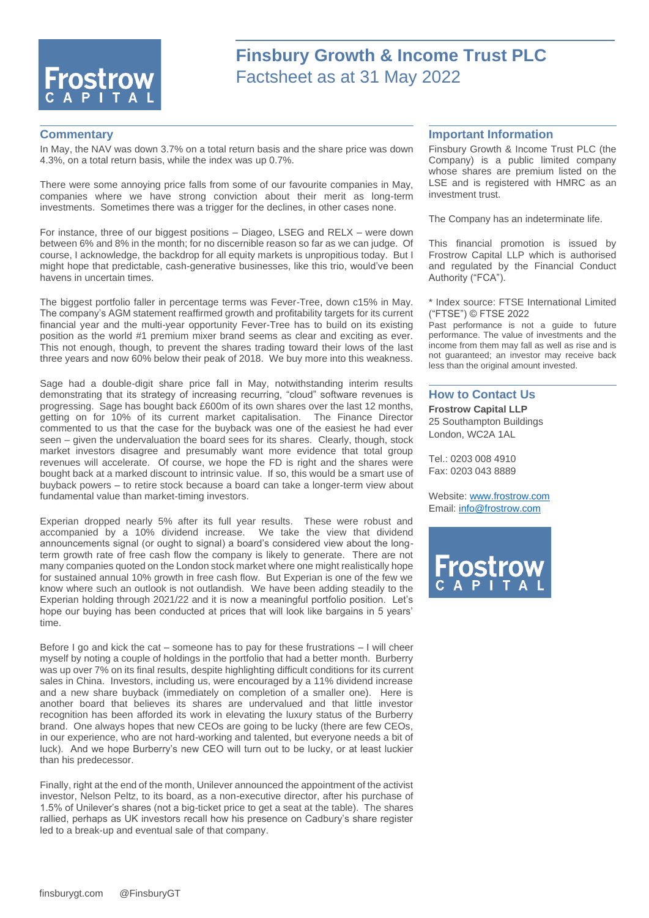

# **Finsbury Growth & Income Trust PLC** Factsheet as at 31 May 2022

#### **Commentary**

In May, the NAV was down 3.7% on a total return basis and the share price was down 4.3%, on a total return basis, while the index was up 0.7%.

There were some annoying price falls from some of our favourite companies in May, companies where we have strong conviction about their merit as long-term investments. Sometimes there was a trigger for the declines, in other cases none.

For instance, three of our biggest positions – Diageo, LSEG and RELX – were down between 6% and 8% in the month; for no discernible reason so far as we can judge. Of course, I acknowledge, the backdrop for all equity markets is unpropitious today. But I might hope that predictable, cash-generative businesses, like this trio, would've been havens in uncertain times.

The biggest portfolio faller in percentage terms was Fever-Tree, down c15% in May. The company's AGM statement reaffirmed growth and profitability targets for its current financial year and the multi-year opportunity Fever-Tree has to build on its existing position as the world #1 premium mixer brand seems as clear and exciting as ever. This not enough, though, to prevent the shares trading toward their lows of the last three years and now 60% below their peak of 2018. We buy more into this weakness.

Sage had a double-digit share price fall in May, notwithstanding interim results demonstrating that its strategy of increasing recurring, "cloud" software revenues is progressing. Sage has bought back £600m of its own shares over the last 12 months, getting on for 10% of its current market capitalisation. The Finance Director commented to us that the case for the buyback was one of the easiest he had ever seen – given the undervaluation the board sees for its shares. Clearly, though, stock market investors disagree and presumably want more evidence that total group revenues will accelerate. Of course, we hope the FD is right and the shares were bought back at a marked discount to intrinsic value. If so, this would be a smart use of buyback powers – to retire stock because a board can take a longer-term view about fundamental value than market-timing investors.

Experian dropped nearly 5% after its full year results. These were robust and accompanied by a 10% dividend increase. We take the view that dividend announcements signal (or ought to signal) a board's considered view about the longterm growth rate of free cash flow the company is likely to generate. There are not many companies quoted on the London stock market where one might realistically hope for sustained annual 10% growth in free cash flow. But Experian is one of the few we know where such an outlook is not outlandish. We have been adding steadily to the Experian holding through 2021/22 and it is now a meaningful portfolio position. Let's hope our buying has been conducted at prices that will look like bargains in 5 years' time.

Before I go and kick the cat – someone has to pay for these frustrations  $-1$  will cheer myself by noting a couple of holdings in the portfolio that had a better month. Burberry was up over 7% on its final results, despite highlighting difficult conditions for its current sales in China. Investors, including us, were encouraged by a 11% dividend increase and a new share buyback (immediately on completion of a smaller one). Here is another board that believes its shares are undervalued and that little investor recognition has been afforded its work in elevating the luxury status of the Burberry brand. One always hopes that new CEOs are going to be lucky (there are few CEOs, in our experience, who are not hard-working and talented, but everyone needs a bit of luck). And we hope Burberry's new CEO will turn out to be lucky, or at least luckier than his predecessor.

Finally, right at the end of the month, Unilever announced the appointment of the activist investor, Nelson Peltz, to its board, as a non-executive director, after his purchase of 1.5% of Unilever's shares (not a big-ticket price to get a seat at the table). The shares rallied, perhaps as UK investors recall how his presence on Cadbury's share register led to a break-up and eventual sale of that company.

#### **Important Information**

Finsbury Growth & Income Trust PLC (the Company) is a public limited company whose shares are premium listed on the LSE and is registered with HMRC as an investment trust.

The Company has an indeterminate life.

This financial promotion is issued by Frostrow Capital LLP which is authorised and regulated by the Financial Conduct Authority ("FCA").

\* Index source: FTSE International Limited ("FTSE") © FTSE 2022

Past performance is not a guide to future performance. The value of investments and the income from them may fall as well as rise and is not guaranteed; an investor may receive back less than the original amount invested.

#### **How to Contact Us**

**Frostrow Capital LLP** 25 Southampton Buildings London, WC2A 1AL

Tel.: 0203 008 4910 Fax: 0203 043 8889

Website: [www.frostrow.com](http://www.frostrow.com/) Email: [info@frostrow.com](mailto:info@frostrow.com)